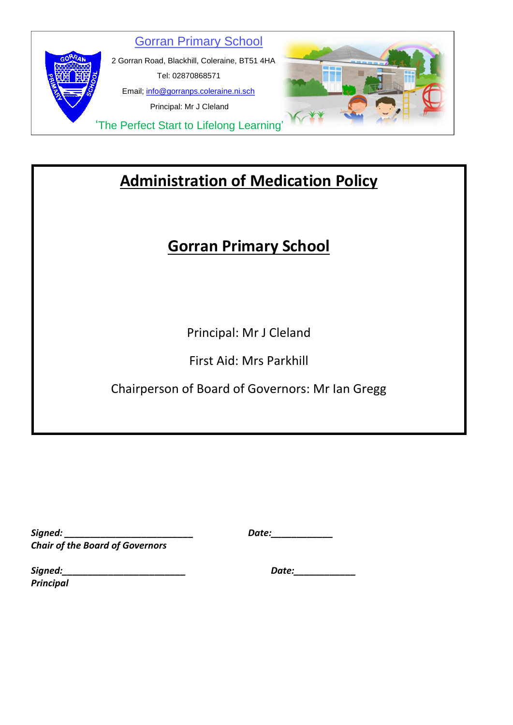

## **Administration of Medication Policy**

# **Gorran Primary School**

Principal: Mr J Cleland

First Aid: Mrs Parkhill

Chairperson of Board of Governors: Mr Ian Gregg

**January 2020**

*Signed: \_\_\_\_\_\_\_\_\_\_\_\_\_\_\_\_\_\_\_\_\_\_\_\_\_ Date:\_\_\_\_\_\_\_\_\_\_\_\_ Chair of the Board of Governors*

*Signed:\_\_\_\_\_\_\_\_\_\_\_\_\_\_\_\_\_\_\_\_\_\_\_\_ Date:\_\_\_\_\_\_\_\_\_\_\_\_ Principal*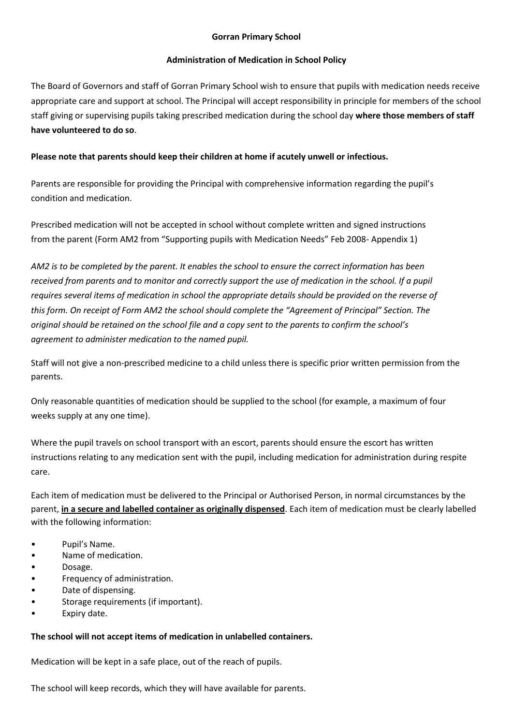#### **Gorran Primary School**

#### **Administration of Medication in School Policy**

The Board of Governors and staff of Gorran Primary School wish to ensure that pupils with medication needs receive appropriate care and support at school. The Principal will accept responsibility in principle for members of the school staff giving or supervising pupils taking prescribed medication during the school day **where those members of staff have volunteered to do so**.

### **Please note that parents should keep their children at home if acutely unwell or infectious.**

Parents are responsible for providing the Principal with comprehensive information regarding the pupil's condition and medication.

Prescribed medication will not be accepted in school without complete written and signed instructions from the parent (Form AM2 from "Supporting pupils with Medication Needs" Feb 2008- Appendix 1)

*AM2 is to be completed by the parent. It enables the school to ensure the correct information has been received from parents and to monitor and correctly support the use of medication in the school. If a pupil requires several items of medication in school the appropriate details should be provided on the reverse of this form. On receipt of Form AM2 the school should complete the "Agreement of Principal" Section. The original should be retained on the school file and a copy sent to the parents to confirm the school's agreement to administer medication to the named pupil.*

Staff will not give a non-prescribed medicine to a child unless there is specific prior written permission from the parents.

Only reasonable quantities of medication should be supplied to the school (for example, a maximum of four weeks supply at any one time).

Where the pupil travels on school transport with an escort, parents should ensure the escort has written instructions relating to any medication sent with the pupil, including medication for administration during respite care.

Each item of medication must be delivered to the Principal or Authorised Person, in normal circumstances by the parent, **in a secure and labelled container as originally dispensed**. Each item of medication must be clearly labelled with the following information:

- Pupil's Name.
- Name of medication.
- Dosage.
- Frequency of administration.
- Date of dispensing.
- Storage requirements (if important).
- Expiry date.

#### **The school will not accept items of medication in unlabelled containers.**

Medication will be kept in a safe place, out of the reach of pupils.

The school will keep records, which they will have available for parents.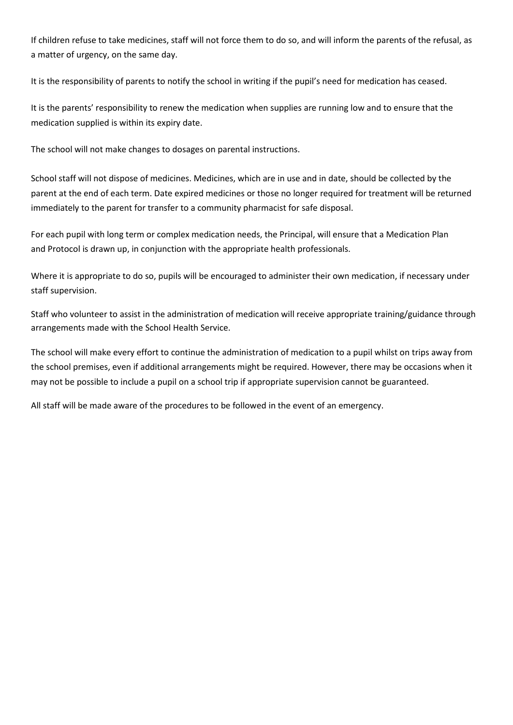If children refuse to take medicines, staff will not force them to do so, and will inform the parents of the refusal, as a matter of urgency, on the same day.

It is the responsibility of parents to notify the school in writing if the pupil's need for medication has ceased.

It is the parents' responsibility to renew the medication when supplies are running low and to ensure that the medication supplied is within its expiry date.

The school will not make changes to dosages on parental instructions.

School staff will not dispose of medicines. Medicines, which are in use and in date, should be collected by the parent at the end of each term. Date expired medicines or those no longer required for treatment will be returned immediately to the parent for transfer to a community pharmacist for safe disposal.

For each pupil with long term or complex medication needs, the Principal, will ensure that a Medication Plan and Protocol is drawn up, in conjunction with the appropriate health professionals.

Where it is appropriate to do so, pupils will be encouraged to administer their own medication, if necessary under staff supervision.

Staff who volunteer to assist in the administration of medication will receive appropriate training/guidance through arrangements made with the School Health Service.

The school will make every effort to continue the administration of medication to a pupil whilst on trips away from the school premises, even if additional arrangements might be required. However, there may be occasions when it may not be possible to include a pupil on a school trip if appropriate supervision cannot be guaranteed.

All staff will be made aware of the procedures to be followed in the event of an emergency.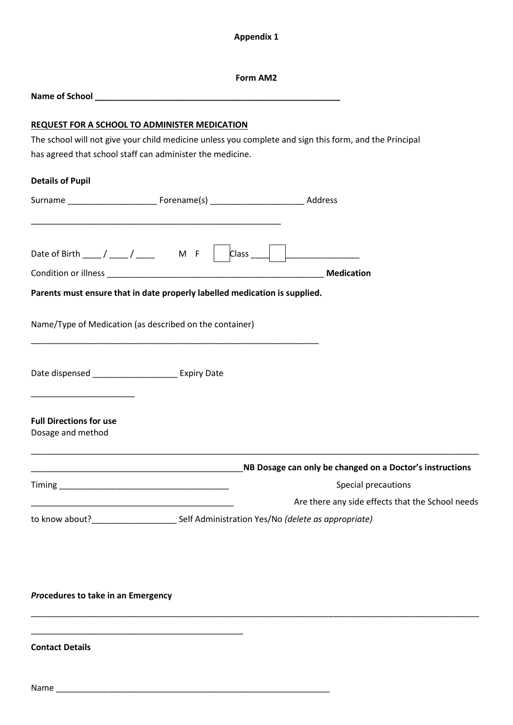**Appendix 1**

| <b>REQUEST FOR A SCHOOL TO ADMINISTER MEDICATION</b><br>The school will not give your child medicine unless you complete and sign this form, and the Principal<br>has agreed that school staff can administer the medicine. |
|-----------------------------------------------------------------------------------------------------------------------------------------------------------------------------------------------------------------------------|
| <b>Details of Pupil</b>                                                                                                                                                                                                     |
|                                                                                                                                                                                                                             |
| Date of Birth ____ / ____ / ____ M F $\left\lfloor \right\rfloor$ Class ____ ___ _______________                                                                                                                            |
| Parents must ensure that in date properly labelled medication is supplied.                                                                                                                                                  |
| Name/Type of Medication (as described on the container)                                                                                                                                                                     |
| Date dispensed _________________________ Expiry Date                                                                                                                                                                        |
| <b>Full Directions for use</b><br>Dosage and method                                                                                                                                                                         |
| NB Dosage can only be changed on a Doctor's instructions                                                                                                                                                                    |
| Special precautions                                                                                                                                                                                                         |
| Are there any side effects that the School needs                                                                                                                                                                            |
|                                                                                                                                                                                                                             |
|                                                                                                                                                                                                                             |
| Procedures to take in an Emergency                                                                                                                                                                                          |
| <u> 1989 - Johann John Stein, markin fan it ferskearre fan it ferskearre fan it ferskearre fan it ferskearre fan</u><br><b>Contact Details</b>                                                                              |